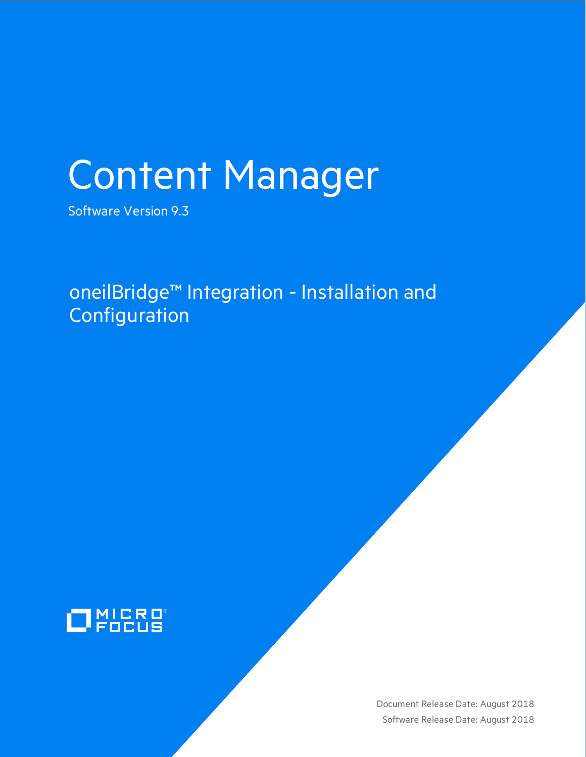# Content Manager

Software Version 9.3

oneilBridge™ Integration - Installation and **Configuration** 



Document Release Date: August 2018 Software Release Date: August 2018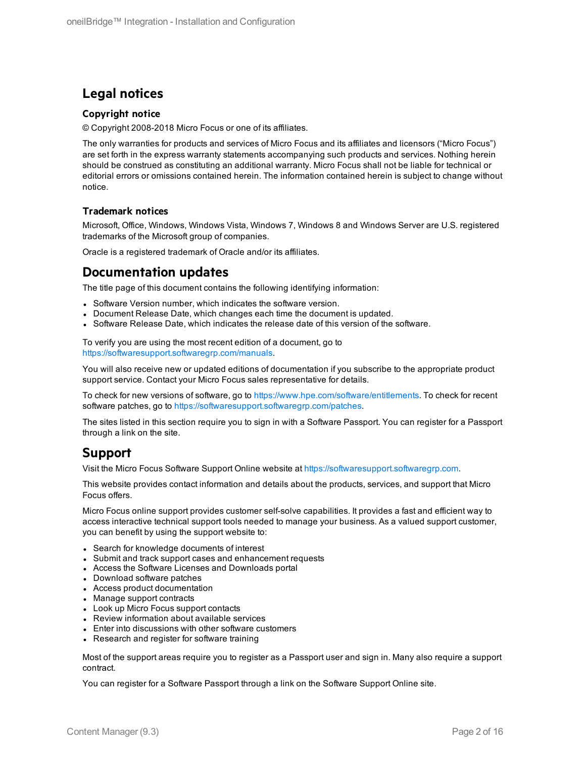#### **Legal notices**

#### **Copyright notice**

© Copyright 2008-2018 Micro Focus or one of its affiliates.

The only warranties for products and services of Micro Focus and its affiliates and licensors ("Micro Focus") are set forth in the express warranty statements accompanying such products and services. Nothing herein should be construed as constituting an additional warranty. Micro Focus shall not be liable for technical or editorial errors or omissions contained herein. The information contained herein is subject to change without notice.

#### **Trademark notices**

Microsoft, Office, Windows, Windows Vista, Windows 7, Windows 8 and Windows Server are U.S. registered trademarks of the Microsoft group of companies.

Oracle is a registered trademark of Oracle and/or its affiliates.

#### **Documentation updates**

The title page of this document contains the following identifying information:

- Software Version number, which indicates the software version.
- Document Release Date, which changes each time the document is updated.
- <sup>l</sup> Software Release Date, which indicates the release date of this version of the software.

To verify you are using the most recent edition of a document, go to <https://softwaresupport.softwaregrp.com/manuals>.

You will also receive new or updated editions of documentation if you subscribe to the appropriate product support service. Contact your Micro Focus sales representative for details.

To check for new versions of software, go to <https://www.hpe.com/software/entitlements>. To check for recent software patches, go to <https://softwaresupport.softwaregrp.com/patches>.

The sites listed in this section require you to sign in with a Software Passport. You can register for a Passport through a link on the site.

#### **Support**

Visit the Micro Focus Software Support Online website at [https://softwaresupport.softwaregrp.com](https://softwaresupport.softwaregrp.com/).

This website provides contact information and details about the products, services, and support that Micro Focus offers.

Micro Focus online support provides customer self-solve capabilities. It provides a fast and efficient way to access interactive technical support tools needed to manage your business. As a valued support customer, you can benefit by using the support website to:

- Search for knowledge documents of interest
- Submit and track support cases and enhancement requests
- Access the Software Licenses and Downloads portal
- Download software patches
- Access product documentation
- Manage support contracts
- Look up Micro Focus support contacts
- Review information about available services
- Enter into discussions with other software customers
- Research and register for software training

Most of the support areas require you to register as a Passport user and sign in. Many also require a support contract.

You can register for a Software Passport through a link on the Software Support Online site.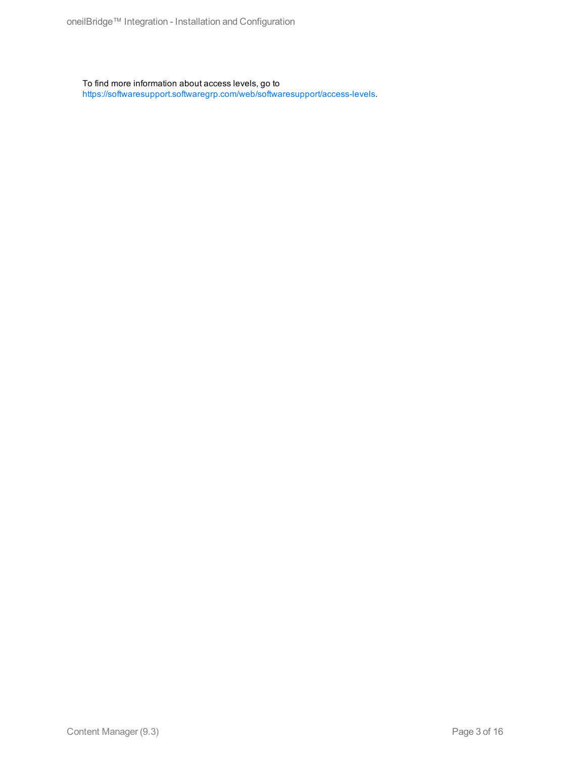To find more information about access levels, go to <https://softwaresupport.softwaregrp.com/web/softwaresupport/access-levels>.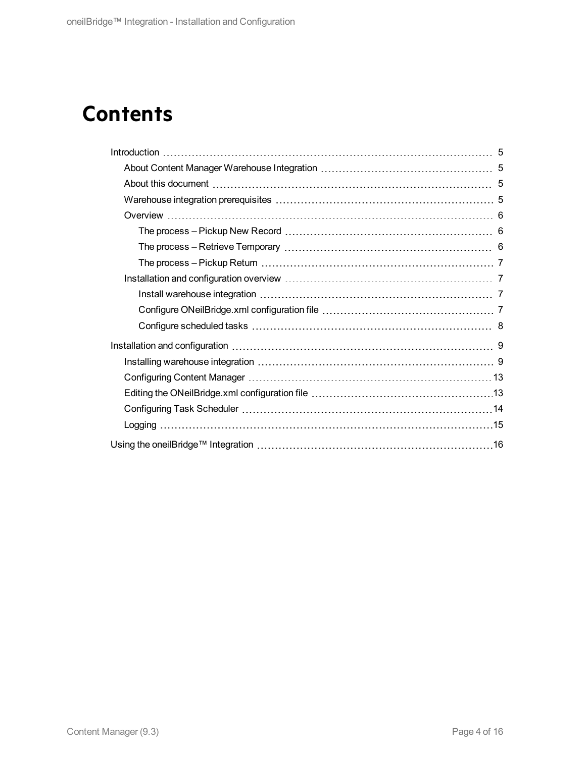# **Contents**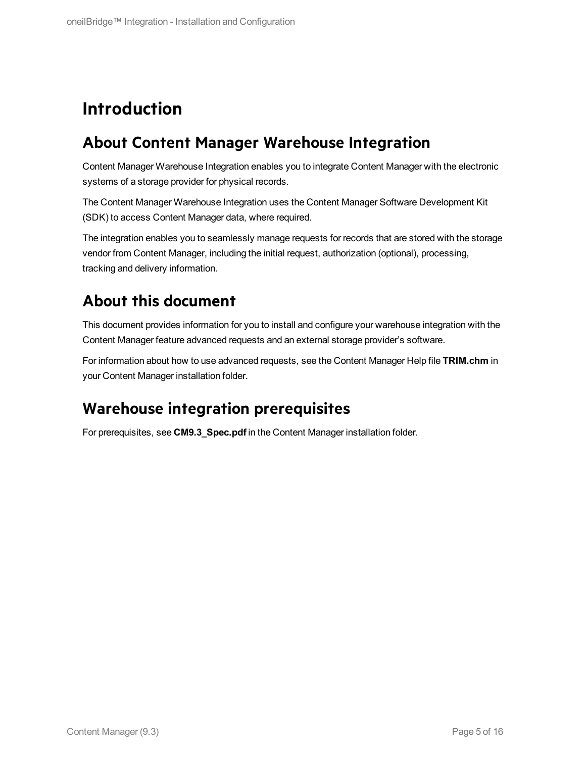# <span id="page-4-0"></span>**Introduction**

## <span id="page-4-1"></span>**About Content Manager Warehouse Integration**

Content Manager Warehouse Integration enables you to integrate Content Manager with the electronic systems of a storage provider for physical records.

The Content Manager Warehouse Integration uses the Content Manager Software Development Kit (SDK) to access Content Manager data, where required.

The integration enables you to seamlessly manage requests for records that are stored with the storage vendor from Content Manager, including the initial request, authorization (optional), processing, tracking and delivery information.

## <span id="page-4-2"></span>**About this document**

This document provides information for you to install and configure your warehouse integration with the Content Manager feature advanced requests and an external storage provider's software.

For information about how to use advanced requests, see the Content Manager Help file **TRIM.chm** in your Content Manager installation folder.

## <span id="page-4-3"></span>**Warehouse integration prerequisites**

For prerequisites, see **CM9.3\_Spec.pdf** in the Content Manager installation folder.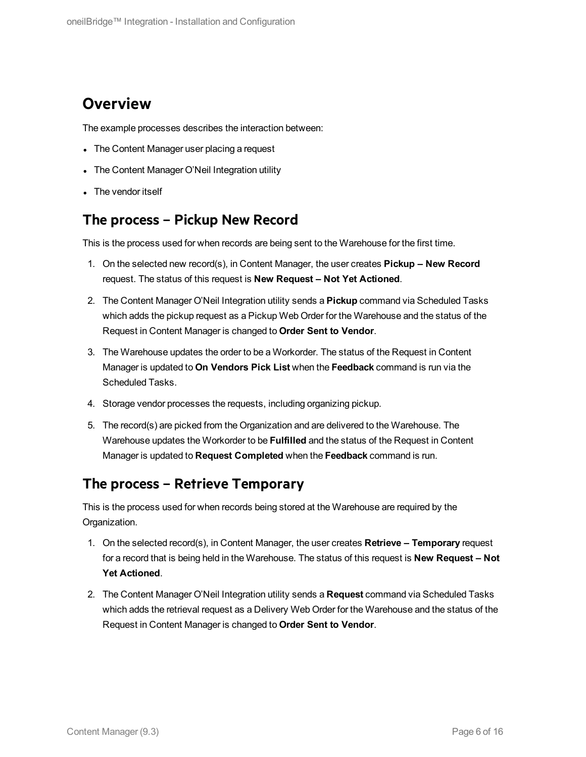## <span id="page-5-0"></span>**Overview**

The example processes describes the interaction between:

- The Content Manager user placing a request
- The Content Manager O'Neil Integration utility
- The vendor itself

#### <span id="page-5-1"></span>**The process – Pickup New Record**

This is the process used for when records are being sent to the Warehouse for the first time.

- 1. On the selected new record(s), in Content Manager, the user creates **Pickup – New Record** request. The status of this request is **New Request – Not Yet Actioned**.
- 2. The Content Manager O'Neil Integration utility sends a **Pickup** command via Scheduled Tasks which adds the pickup request as a Pickup Web Order for the Warehouse and the status of the Request in Content Manager is changed to **Order Sent to Vendor**.
- 3. The Warehouse updates the order to be a Workorder. The status of the Request in Content Manager is updated to **On Vendors Pick List** when the **Feedback** command is run via the Scheduled Tasks.
- 4. Storage vendor processes the requests, including organizing pickup.
- 5. The record(s) are picked from the Organization and are delivered to the Warehouse. The Warehouse updates the Workorder to be **Fulfilled** and the status of the Request in Content Manager is updated to **Request Completed** when the **Feedback** command is run.

#### <span id="page-5-2"></span>**The process – Retrieve Temporary**

This is the process used for when records being stored at the Warehouse are required by the Organization.

- 1. On the selected record(s), in Content Manager, the user creates **Retrieve – Temporary** request for a record that is being held in the Warehouse. The status of this request is **New Request – Not Yet Actioned**.
- 2. The Content Manager O'Neil Integration utility sends a **Request** command via Scheduled Tasks which adds the retrieval request as a Delivery Web Order for the Warehouse and the status of the Request in Content Manager is changed to **Order Sent to Vendor**.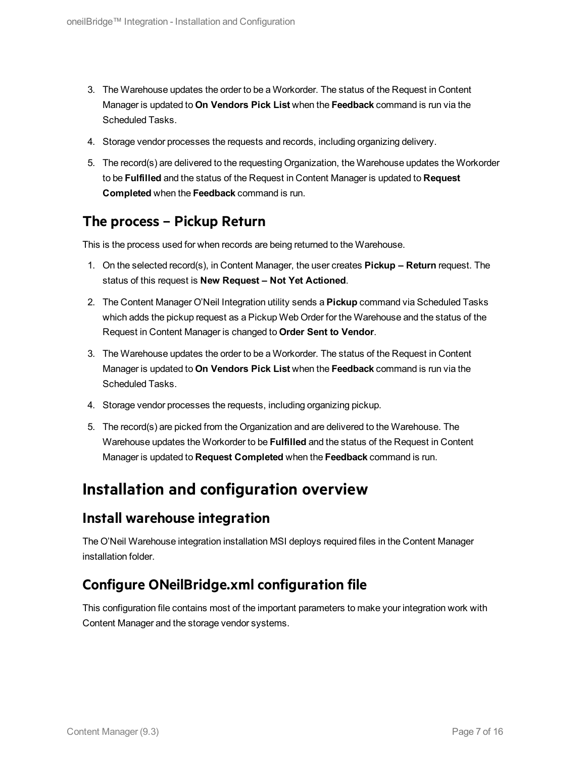- 3. The Warehouse updates the order to be a Workorder. The status of the Request in Content Manager is updated to **On Vendors Pick List** when the **Feedback** command is run via the Scheduled Tasks.
- 4. Storage vendor processes the requests and records, including organizing delivery.
- 5. The record(s) are delivered to the requesting Organization, the Warehouse updates the Workorder to be **Fulfilled** and the status of the Request in Content Manager is updated to **Request Completed** when the **Feedback** command is run.

### <span id="page-6-0"></span>**The process – Pickup Return**

This is the process used for when records are being returned to the Warehouse.

- 1. On the selected record(s), in Content Manager, the user creates **Pickup – Return** request. The status of this request is **New Request – Not Yet Actioned**.
- 2. The Content Manager O'Neil Integration utility sends a **Pickup** command via Scheduled Tasks which adds the pickup request as a Pickup Web Order for the Warehouse and the status of the Request in Content Manager is changed to **Order Sent to Vendor**.
- 3. The Warehouse updates the order to be a Workorder. The status of the Request in Content Manager is updated to **On Vendors Pick List** when the **Feedback** command is run via the Scheduled Tasks.
- 4. Storage vendor processes the requests, including organizing pickup.
- 5. The record(s) are picked from the Organization and are delivered to the Warehouse. The Warehouse updates the Workorder to be **Fulfilled** and the status of the Request in Content Manager is updated to **Request Completed** when the **Feedback** command is run.

## <span id="page-6-1"></span>**Installation and configuration overview**

#### <span id="page-6-2"></span>**Install warehouse integration**

The O'Neil Warehouse integration installation MSI deploys required files in the Content Manager installation folder.

## <span id="page-6-3"></span>**Configure ONeilBridge.xml configuration file**

This configuration file contains most of the important parameters to make your integration work with Content Manager and the storage vendor systems.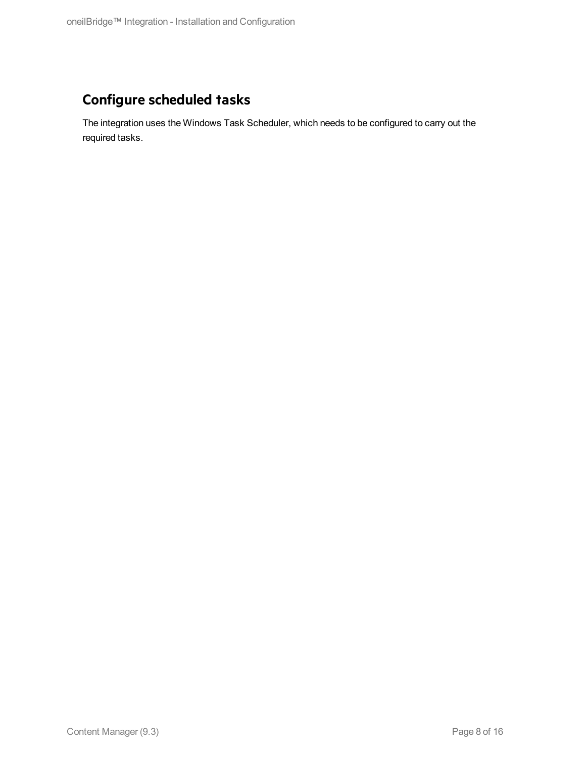## <span id="page-7-0"></span>**Configure scheduled tasks**

The integration uses the Windows Task Scheduler, which needs to be configured to carry out the required tasks.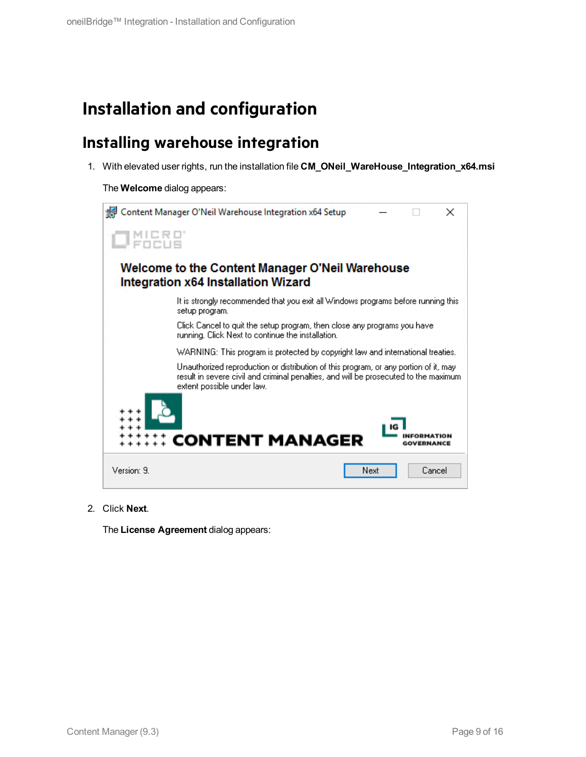## <span id="page-8-0"></span>**Installation and configuration**

## <span id="page-8-1"></span>**Installing warehouse integration**

1. With elevated user rights, run the installation file **CM\_ONeil\_WareHouse\_Integration\_x64.msi**

The **Welcome** dialog appears:



2. Click **Next**.

The **License Agreement** dialog appears: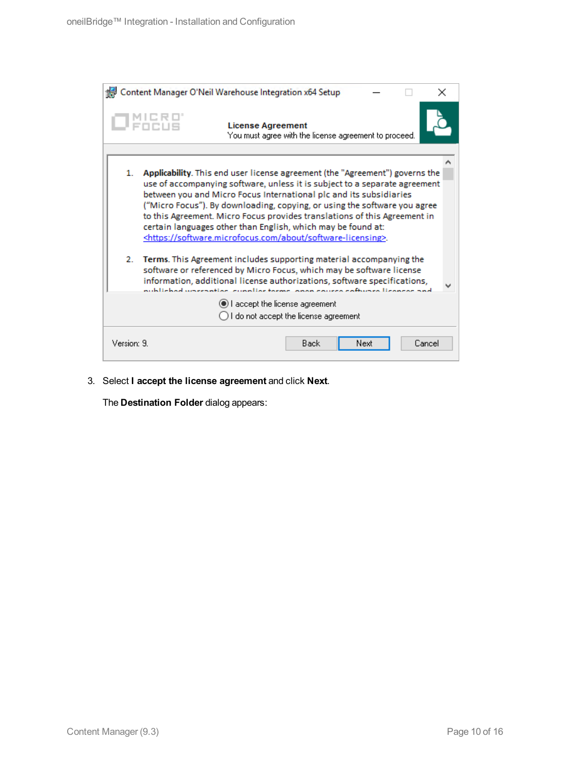|                                                                         | Content Manager O'Neil Warehouse Integration x64 Setup                                                                                                                                                                                                                                                                                                                                                                                                                                                                                     |  |  |  |
|-------------------------------------------------------------------------|--------------------------------------------------------------------------------------------------------------------------------------------------------------------------------------------------------------------------------------------------------------------------------------------------------------------------------------------------------------------------------------------------------------------------------------------------------------------------------------------------------------------------------------------|--|--|--|
| 1 PHENE                                                                 | <b>License Agreement</b><br>You must agree with the license agreement to proceed.                                                                                                                                                                                                                                                                                                                                                                                                                                                          |  |  |  |
| 1.                                                                      | Applicability. This end user license agreement (the "Agreement") governs the<br>use of accompanying software, unless it is subject to a separate agreement<br>between you and Micro Focus International plc and its subsidiaries<br>("Micro Focus"). By downloading, copying, or using the software you agree<br>to this Agreement. Micro Focus provides translations of this Agreement in<br>certain languages other than English, which may be found at:<br><https: about="" software-licensing="" software.microfocus.com="">.</https:> |  |  |  |
| 2.                                                                      | Terms. This Agreement includes supporting material accompanying the<br>software or referenced by Micro Focus, which may be software license<br>information, additional license authorizations, software specifications,<br>publiched uncernation cupolies terms, open course software lisenses and                                                                                                                                                                                                                                         |  |  |  |
| I accept the license agreement<br>I do not accept the license agreement |                                                                                                                                                                                                                                                                                                                                                                                                                                                                                                                                            |  |  |  |
| Version: 9.                                                             | Cancel<br>Back<br>Next                                                                                                                                                                                                                                                                                                                                                                                                                                                                                                                     |  |  |  |

3. Select **I accept the license agreement** and click **Next**.

The **Destination Folder** dialog appears: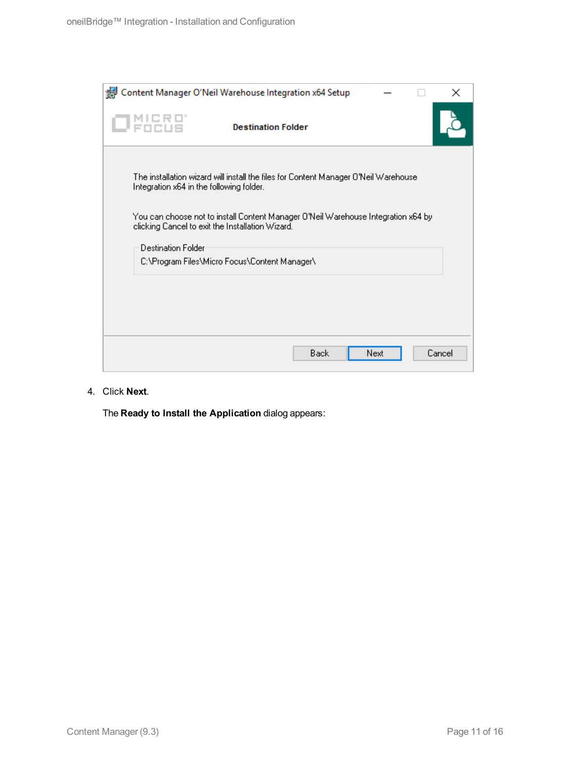| Content Manager O'Neil Warehouse Integration x64 Setup                                                                                                                                                                                                                   |                        | × |
|--------------------------------------------------------------------------------------------------------------------------------------------------------------------------------------------------------------------------------------------------------------------------|------------------------|---|
| <b>Destination Folder</b>                                                                                                                                                                                                                                                |                        |   |
| The installation wizard will install the files for Content Manager O'Neil Warehouse<br>Integration x64 in the following folder.<br>You can choose not to install Content Manager O'Neil Warehouse Integration x64 by<br>clicking Cancel to exit the Installation Wizard. |                        |   |
| <b>Destination Folder</b><br>C:\Program Files\Micro Focus\Content Manager\                                                                                                                                                                                               |                        |   |
|                                                                                                                                                                                                                                                                          |                        |   |
|                                                                                                                                                                                                                                                                          |                        |   |
|                                                                                                                                                                                                                                                                          | Back<br>Cancel<br>Next |   |

4. Click **Next**.

The **Ready to Install the Application** dialog appears: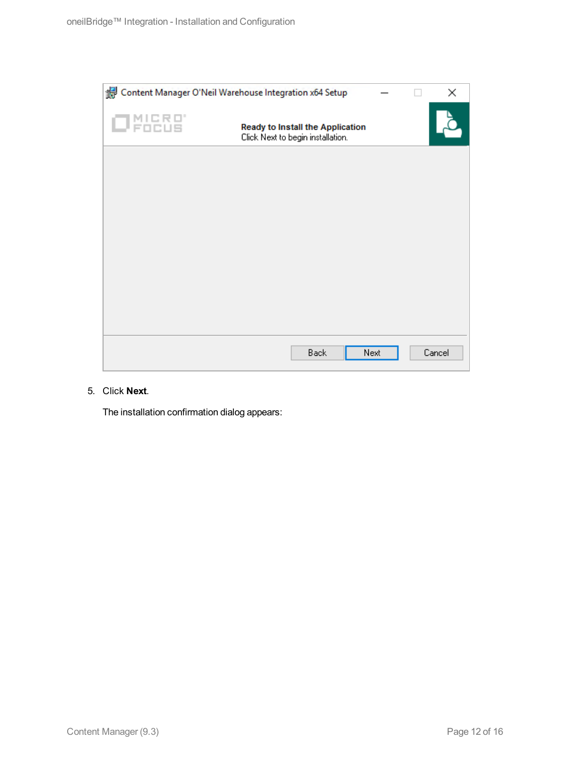

#### 5. Click **Next**.

The installation confirmation dialog appears: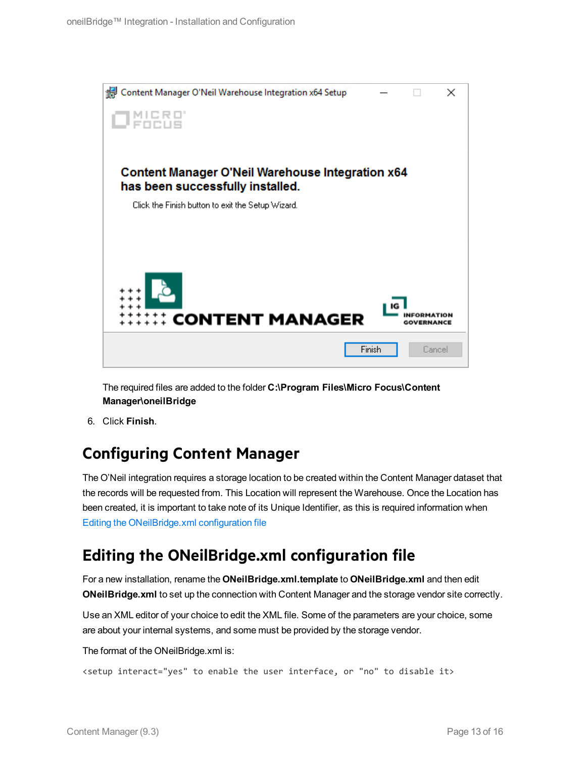

The required files are added to the folder **C:\Program Files\Micro Focus\Content Manager\oneilBridge**

6. Click **Finish**.

## <span id="page-12-0"></span>**Configuring Content Manager**

The O'Neil integration requires a storage location to be created within the Content Manager dataset that the records will be requested from. This Location will represent the Warehouse. Once the Location has been created, it is important to take note of its Unique Identifier, as this is required information when Editing the [ONeilBridge.xml](#page-12-1) configuration file

## <span id="page-12-1"></span>**Editing the ONeilBridge.xml configuration file**

For a new installation, rename the **ONeilBridge.xml.template** to **ONeilBridge.xml** and then edit **ONeilBridge.xml** to set up the connection with Content Manager and the storage vendor site correctly.

Use an XML editor of your choice to edit the XML file. Some of the parameters are your choice, some are about your internal systems, and some must be provided by the storage vendor.

The format of the ONeilBridge.xml is:

```
<setup interact="yes" to enable the user interface, or "no" to disable it>
```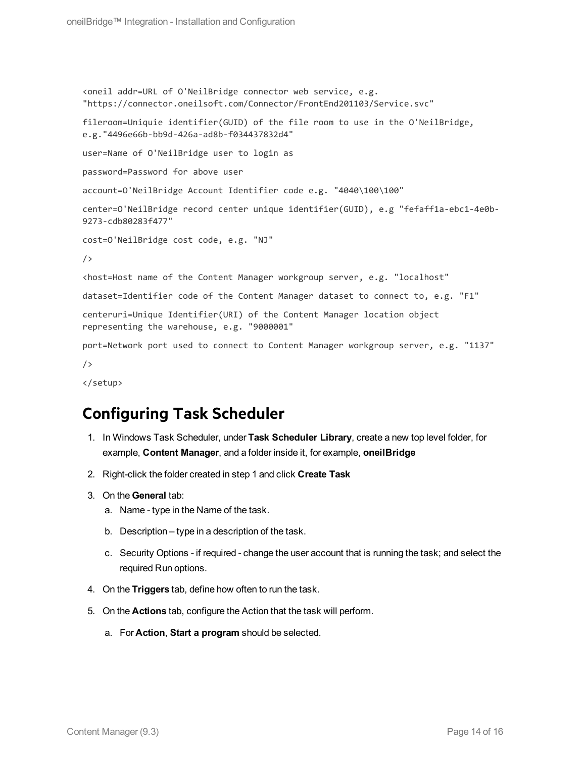```
<oneil addr=URL of O'NeilBridge connector web service, e.g.
"https://connector.oneilsoft.com/Connector/FrontEnd201103/Service.svc"
fileroom=Uniquie identifier(GUID) of the file room to use in the O'NeilBridge,
e.g."4496e66b-bb9d-426a-ad8b-f034437832d4"
user=Name of O'NeilBridge user to login as
password=Password for above user
account=O'NeilBridge Account Identifier code e.g. "4040\100\100"
center=O'NeilBridge record center unique identifier(GUID), e.g "fefaff1a-ebc1-4e0b-
9273-cdb80283f477"
cost=O'NeilBridge cost code, e.g. "NJ"
/>
<host=Host name of the Content Manager workgroup server, e.g. "localhost"
dataset=Identifier code of the Content Manager dataset to connect to, e.g. "F1"
centeruri=Unique Identifier(URI) of the Content Manager location object
representing the warehouse, e.g. "9000001"
port=Network port used to connect to Content Manager workgroup server, e.g. "1137"
/>
```

```
</setup>
```
## <span id="page-13-0"></span>**Configuring Task Scheduler**

- 1. In Windows Task Scheduler, under **Task Scheduler Library**, create a new top level folder, for example, **Content Manager**, and a folder inside it, for example, **oneilBridge**
- 2. Right-click the folder created in step 1 and click **Create Task**
- 3. On the **General** tab:
	- a. Name type in the Name of the task.
	- b. Description type in a description of the task.
	- c. Security Options if required change the user account that is running the task; and select the required Run options.
- 4. On the **Triggers** tab, define how often to run the task.
- 5. On the **Actions** tab, configure the Action that the task will perform.
	- a. For **Action**, **Start a program** should be selected.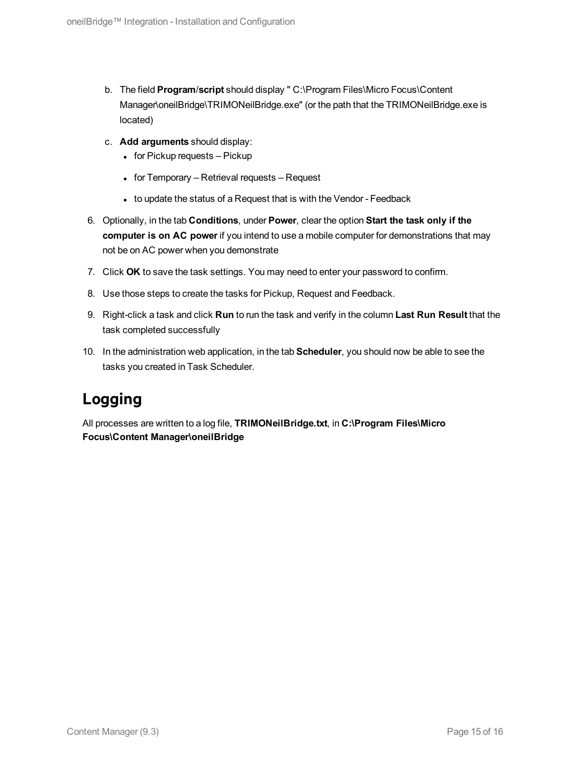- b. The field **Program**/**script** should display " C:\Program Files\Micro Focus\Content Manager\oneilBridge\TRIMONeilBridge.exe" (or the path that the TRIMONeilBridge.exe is located)
- c. **Add arguments** should display:
	- $\bullet$  for Pickup requests Pickup
	- $\bullet$  for Temporary Retrieval requests Request
	- to update the status of a Request that is with the Vendor Feedback
- 6. Optionally, in the tab **Conditions**, under **Power**, clear the option **Start the task only if the computer is on AC power** if you intend to use a mobile computer for demonstrations that may not be on AC power when you demonstrate
- 7. Click **OK** to save the task settings. You may need to enter your password to confirm.
- 8. Use those steps to create the tasks for Pickup, Request and Feedback.
- 9. Right-click a task and click **Run** to run the task and verify in the column **Last Run Result** that the task completed successfully
- 10. In the administration web application, in the tab **Scheduler**, you should now be able to see the tasks you created in Task Scheduler.

## <span id="page-14-0"></span>**Logging**

All processes are written to a log file, **TRIMONeilBridge.txt**, in **C:\Program Files\Micro Focus\Content Manager\oneilBridge**